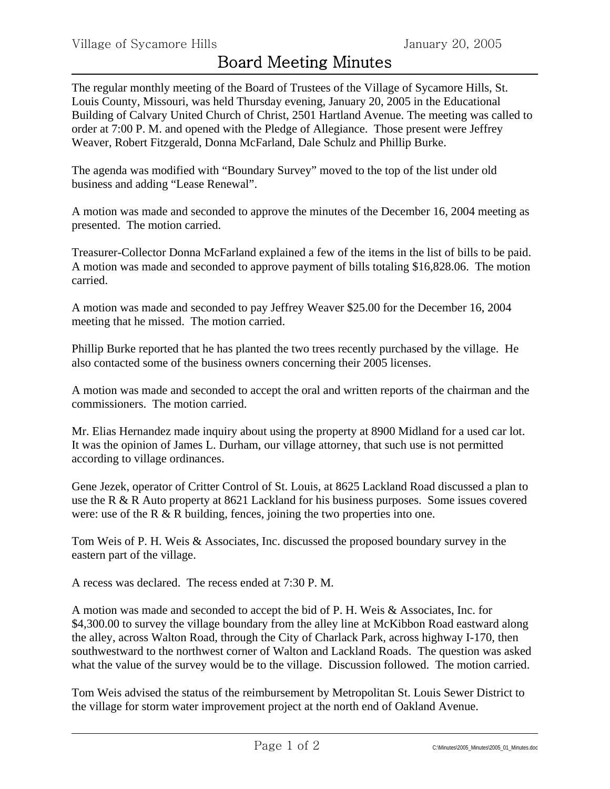The regular monthly meeting of the Board of Trustees of the Village of Sycamore Hills, St. Louis County, Missouri, was held Thursday evening, January 20, 2005 in the Educational Building of Calvary United Church of Christ, 2501 Hartland Avenue. The meeting was called to order at 7:00 P. M. and opened with the Pledge of Allegiance. Those present were Jeffrey Weaver, Robert Fitzgerald, Donna McFarland, Dale Schulz and Phillip Burke.

The agenda was modified with "Boundary Survey" moved to the top of the list under old business and adding "Lease Renewal".

A motion was made and seconded to approve the minutes of the December 16, 2004 meeting as presented. The motion carried.

Treasurer-Collector Donna McFarland explained a few of the items in the list of bills to be paid. A motion was made and seconded to approve payment of bills totaling \$16,828.06. The motion carried.

A motion was made and seconded to pay Jeffrey Weaver \$25.00 for the December 16, 2004 meeting that he missed. The motion carried.

Phillip Burke reported that he has planted the two trees recently purchased by the village. He also contacted some of the business owners concerning their 2005 licenses.

A motion was made and seconded to accept the oral and written reports of the chairman and the commissioners. The motion carried.

Mr. Elias Hernandez made inquiry about using the property at 8900 Midland for a used car lot. It was the opinion of James L. Durham, our village attorney, that such use is not permitted according to village ordinances.

Gene Jezek, operator of Critter Control of St. Louis, at 8625 Lackland Road discussed a plan to use the R & R Auto property at 8621 Lackland for his business purposes. Some issues covered were: use of the R & R building, fences, joining the two properties into one.

Tom Weis of P. H. Weis & Associates, Inc. discussed the proposed boundary survey in the eastern part of the village.

A recess was declared. The recess ended at 7:30 P. M.

A motion was made and seconded to accept the bid of P. H. Weis & Associates, Inc. for \$4,300.00 to survey the village boundary from the alley line at McKibbon Road eastward along the alley, across Walton Road, through the City of Charlack Park, across highway I-170, then southwestward to the northwest corner of Walton and Lackland Roads. The question was asked what the value of the survey would be to the village. Discussion followed. The motion carried.

Tom Weis advised the status of the reimbursement by Metropolitan St. Louis Sewer District to the village for storm water improvement project at the north end of Oakland Avenue.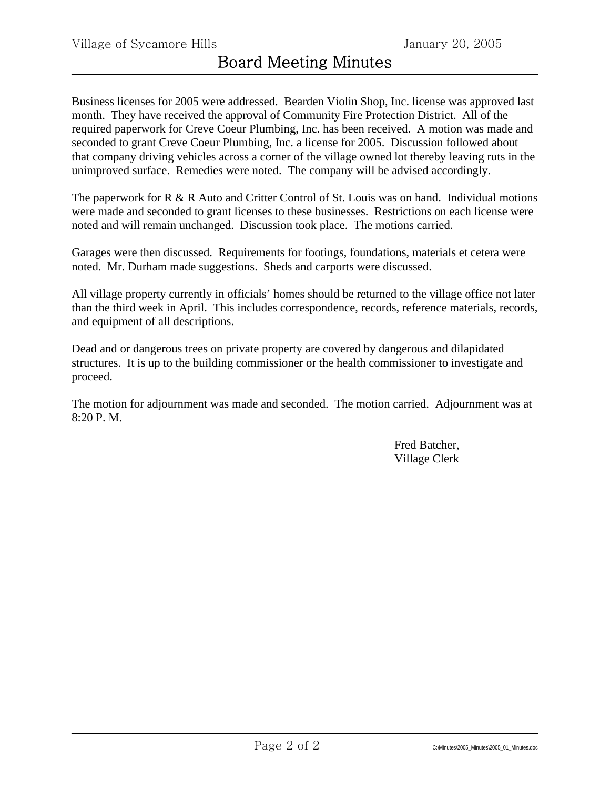Business licenses for 2005 were addressed. Bearden Violin Shop, Inc. license was approved last month. They have received the approval of Community Fire Protection District. All of the required paperwork for Creve Coeur Plumbing, Inc. has been received. A motion was made and seconded to grant Creve Coeur Plumbing, Inc. a license for 2005. Discussion followed about that company driving vehicles across a corner of the village owned lot thereby leaving ruts in the unimproved surface. Remedies were noted. The company will be advised accordingly.

The paperwork for R & R Auto and Critter Control of St. Louis was on hand. Individual motions were made and seconded to grant licenses to these businesses. Restrictions on each license were noted and will remain unchanged. Discussion took place. The motions carried.

Garages were then discussed. Requirements for footings, foundations, materials et cetera were noted. Mr. Durham made suggestions. Sheds and carports were discussed.

All village property currently in officials' homes should be returned to the village office not later than the third week in April. This includes correspondence, records, reference materials, records, and equipment of all descriptions.

Dead and or dangerous trees on private property are covered by dangerous and dilapidated structures. It is up to the building commissioner or the health commissioner to investigate and proceed.

The motion for adjournment was made and seconded. The motion carried. Adjournment was at 8:20 P. M.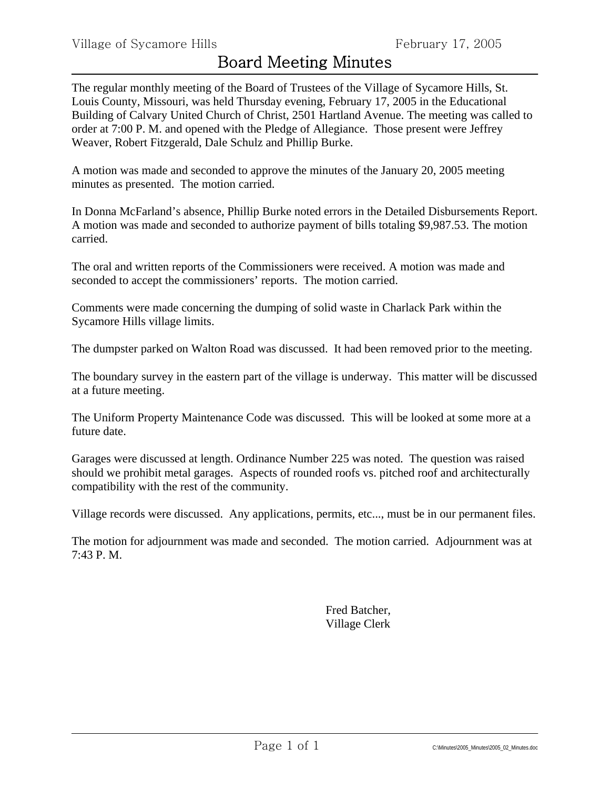The regular monthly meeting of the Board of Trustees of the Village of Sycamore Hills, St. Louis County, Missouri, was held Thursday evening, February 17, 2005 in the Educational Building of Calvary United Church of Christ, 2501 Hartland Avenue. The meeting was called to order at 7:00 P. M. and opened with the Pledge of Allegiance. Those present were Jeffrey Weaver, Robert Fitzgerald, Dale Schulz and Phillip Burke.

A motion was made and seconded to approve the minutes of the January 20, 2005 meeting minutes as presented. The motion carried.

In Donna McFarland's absence, Phillip Burke noted errors in the Detailed Disbursements Report. A motion was made and seconded to authorize payment of bills totaling \$9,987.53. The motion carried.

The oral and written reports of the Commissioners were received. A motion was made and seconded to accept the commissioners' reports. The motion carried.

Comments were made concerning the dumping of solid waste in Charlack Park within the Sycamore Hills village limits.

The dumpster parked on Walton Road was discussed. It had been removed prior to the meeting.

The boundary survey in the eastern part of the village is underway. This matter will be discussed at a future meeting.

The Uniform Property Maintenance Code was discussed. This will be looked at some more at a future date.

Garages were discussed at length. Ordinance Number 225 was noted. The question was raised should we prohibit metal garages. Aspects of rounded roofs vs. pitched roof and architecturally compatibility with the rest of the community.

Village records were discussed. Any applications, permits, etc..., must be in our permanent files.

The motion for adjournment was made and seconded. The motion carried. Adjournment was at 7:43 P. M.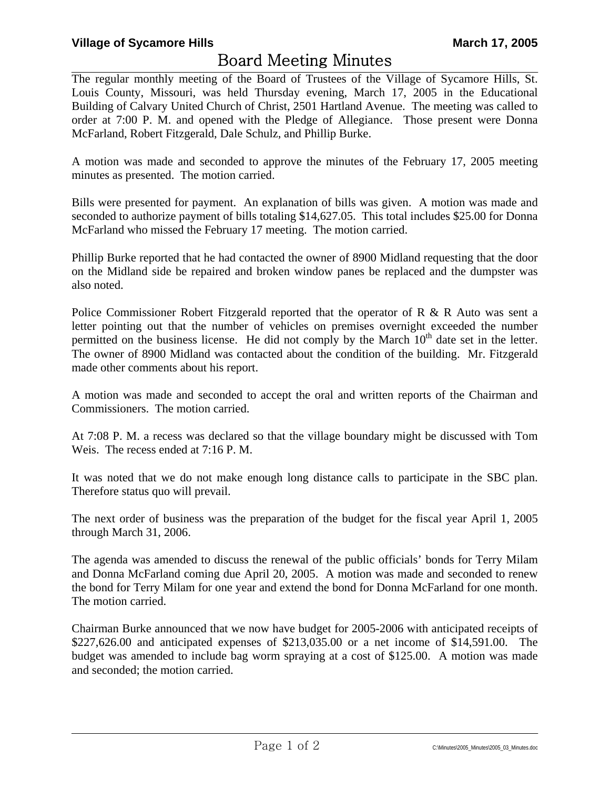The regular monthly meeting of the Board of Trustees of the Village of Sycamore Hills, St. Louis County, Missouri, was held Thursday evening, March 17, 2005 in the Educational Building of Calvary United Church of Christ, 2501 Hartland Avenue. The meeting was called to order at 7:00 P. M. and opened with the Pledge of Allegiance. Those present were Donna McFarland, Robert Fitzgerald, Dale Schulz, and Phillip Burke.

A motion was made and seconded to approve the minutes of the February 17, 2005 meeting minutes as presented. The motion carried.

Bills were presented for payment. An explanation of bills was given. A motion was made and seconded to authorize payment of bills totaling \$14,627.05. This total includes \$25.00 for Donna McFarland who missed the February 17 meeting. The motion carried.

Phillip Burke reported that he had contacted the owner of 8900 Midland requesting that the door on the Midland side be repaired and broken window panes be replaced and the dumpster was also noted.

Police Commissioner Robert Fitzgerald reported that the operator of R & R Auto was sent a letter pointing out that the number of vehicles on premises overnight exceeded the number permitted on the business license. He did not comply by the March  $10<sup>th</sup>$  date set in the letter. The owner of 8900 Midland was contacted about the condition of the building. Mr. Fitzgerald made other comments about his report.

A motion was made and seconded to accept the oral and written reports of the Chairman and Commissioners. The motion carried.

At 7:08 P. M. a recess was declared so that the village boundary might be discussed with Tom Weis. The recess ended at 7:16 P. M.

It was noted that we do not make enough long distance calls to participate in the SBC plan. Therefore status quo will prevail.

The next order of business was the preparation of the budget for the fiscal year April 1, 2005 through March 31, 2006.

The agenda was amended to discuss the renewal of the public officials' bonds for Terry Milam and Donna McFarland coming due April 20, 2005. A motion was made and seconded to renew the bond for Terry Milam for one year and extend the bond for Donna McFarland for one month. The motion carried.

Chairman Burke announced that we now have budget for 2005-2006 with anticipated receipts of \$227,626.00 and anticipated expenses of \$213,035.00 or a net income of \$14,591.00. The budget was amended to include bag worm spraying at a cost of \$125.00. A motion was made and seconded; the motion carried.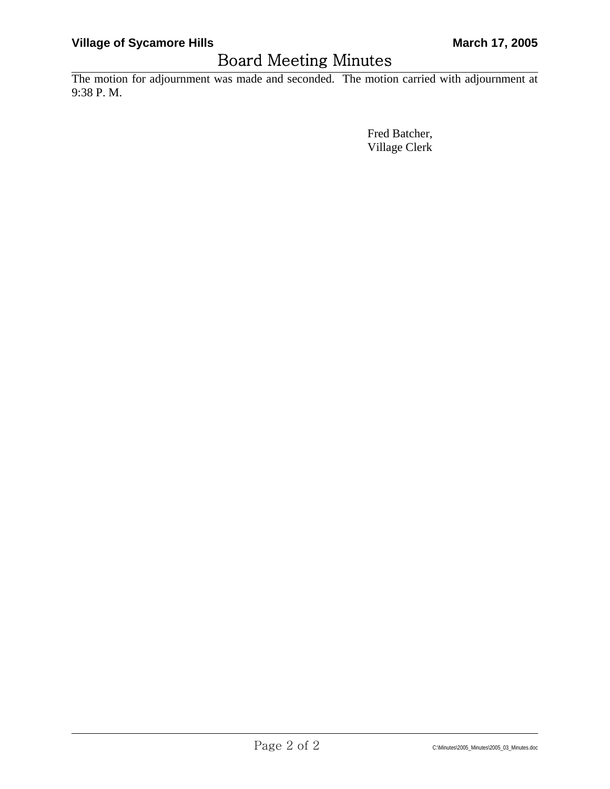The motion for adjournment was made and seconded. The motion carried with adjournment at 9:38 P. M.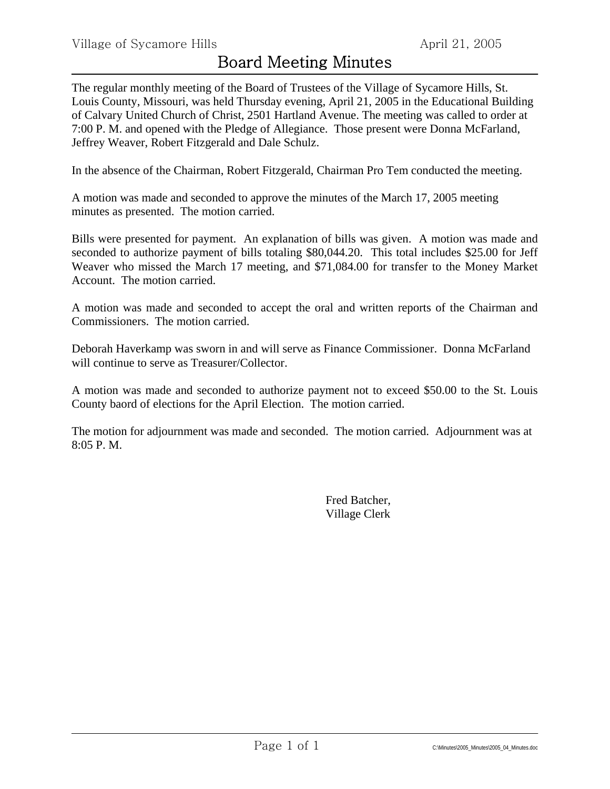The regular monthly meeting of the Board of Trustees of the Village of Sycamore Hills, St. Louis County, Missouri, was held Thursday evening, April 21, 2005 in the Educational Building of Calvary United Church of Christ, 2501 Hartland Avenue. The meeting was called to order at 7:00 P. M. and opened with the Pledge of Allegiance. Those present were Donna McFarland, Jeffrey Weaver, Robert Fitzgerald and Dale Schulz.

In the absence of the Chairman, Robert Fitzgerald, Chairman Pro Tem conducted the meeting.

A motion was made and seconded to approve the minutes of the March 17, 2005 meeting minutes as presented. The motion carried.

Bills were presented for payment. An explanation of bills was given. A motion was made and seconded to authorize payment of bills totaling \$80,044.20. This total includes \$25.00 for Jeff Weaver who missed the March 17 meeting, and \$71,084.00 for transfer to the Money Market Account. The motion carried.

A motion was made and seconded to accept the oral and written reports of the Chairman and Commissioners. The motion carried.

Deborah Haverkamp was sworn in and will serve as Finance Commissioner. Donna McFarland will continue to serve as Treasurer/Collector.

A motion was made and seconded to authorize payment not to exceed \$50.00 to the St. Louis County baord of elections for the April Election. The motion carried.

The motion for adjournment was made and seconded. The motion carried. Adjournment was at 8:05 P. M.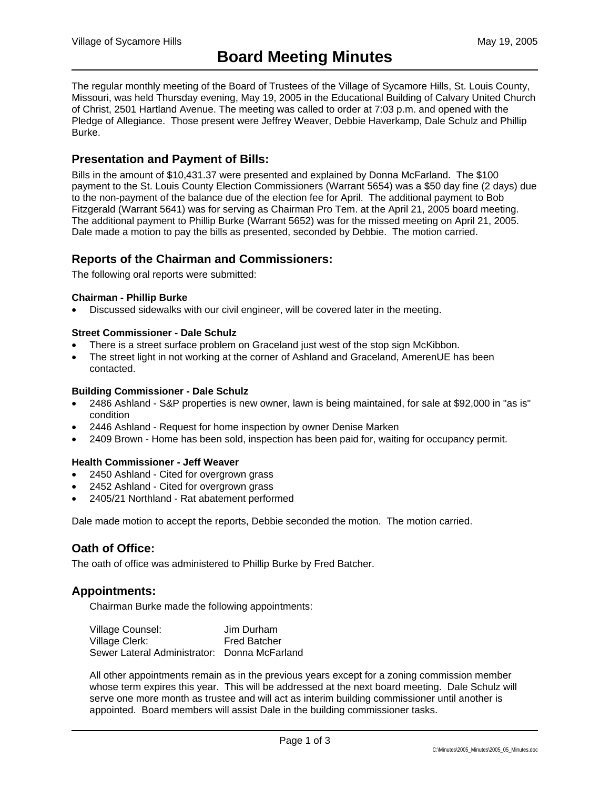The regular monthly meeting of the Board of Trustees of the Village of Sycamore Hills, St. Louis County, Missouri, was held Thursday evening, May 19, 2005 in the Educational Building of Calvary United Church of Christ, 2501 Hartland Avenue. The meeting was called to order at 7:03 p.m. and opened with the Pledge of Allegiance. Those present were Jeffrey Weaver, Debbie Haverkamp, Dale Schulz and Phillip Burke.

## **Presentation and Payment of Bills:**

Bills in the amount of \$10,431.37 were presented and explained by Donna McFarland. The \$100 payment to the St. Louis County Election Commissioners (Warrant 5654) was a \$50 day fine (2 days) due to the non-payment of the balance due of the election fee for April. The additional payment to Bob Fitzgerald (Warrant 5641) was for serving as Chairman Pro Tem. at the April 21, 2005 board meeting. The additional payment to Phillip Burke (Warrant 5652) was for the missed meeting on April 21, 2005. Dale made a motion to pay the bills as presented, seconded by Debbie. The motion carried.

## **Reports of the Chairman and Commissioners:**

The following oral reports were submitted:

#### **Chairman - Phillip Burke**

• Discussed sidewalks with our civil engineer, will be covered later in the meeting.

#### **Street Commissioner - Dale Schulz**

- There is a street surface problem on Graceland just west of the stop sign McKibbon.
- The street light in not working at the corner of Ashland and Graceland, AmerenUE has been contacted.

#### **Building Commissioner - Dale Schulz**

- 2486 Ashland S&P properties is new owner, lawn is being maintained, for sale at \$92,000 in "as is" condition
- 2446 Ashland Request for home inspection by owner Denise Marken
- 2409 Brown Home has been sold, inspection has been paid for, waiting for occupancy permit.

#### **Health Commissioner - Jeff Weaver**

- 2450 Ashland Cited for overgrown grass
- 2452 Ashland Cited for overgrown grass
- 2405/21 Northland Rat abatement performed

Dale made motion to accept the reports, Debbie seconded the motion. The motion carried.

# **Oath of Office:**

The oath of office was administered to Phillip Burke by Fred Batcher.

### **Appointments:**

Chairman Burke made the following appointments:

| Village Counsel:                             | Jim Durham          |
|----------------------------------------------|---------------------|
| Village Clerk:                               | <b>Fred Batcher</b> |
| Sewer Lateral Administrator: Donna McFarland |                     |

All other appointments remain as in the previous years except for a zoning commission member whose term expires this year. This will be addressed at the next board meeting. Dale Schulz will serve one more month as trustee and will act as interim building commissioner until another is appointed. Board members will assist Dale in the building commissioner tasks.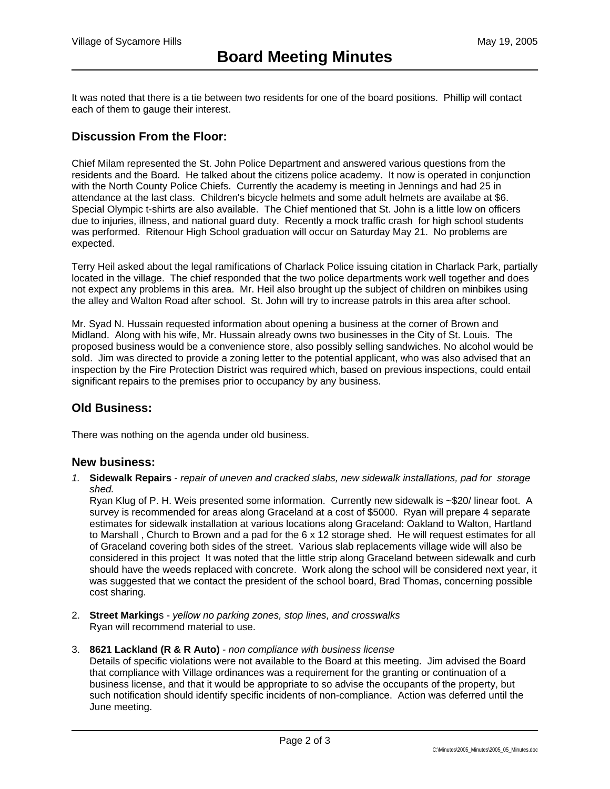It was noted that there is a tie between two residents for one of the board positions. Phillip will contact each of them to gauge their interest.

# **Discussion From the Floor:**

Chief Milam represented the St. John Police Department and answered various questions from the residents and the Board. He talked about the citizens police academy. It now is operated in conjunction with the North County Police Chiefs. Currently the academy is meeting in Jennings and had 25 in attendance at the last class. Children's bicycle helmets and some adult helmets are availabe at \$6. Special Olympic t-shirts are also available. The Chief mentioned that St. John is a little low on officers due to injuries, illness, and national guard duty. Recently a mock traffic crash for high school students was performed. Ritenour High School graduation will occur on Saturday May 21. No problems are expected.

Terry Heil asked about the legal ramifications of Charlack Police issuing citation in Charlack Park, partially located in the village. The chief responded that the two police departments work well together and does not expect any problems in this area. Mr. Heil also brought up the subject of children on minbikes using the alley and Walton Road after school. St. John will try to increase patrols in this area after school.

Mr. Syad N. Hussain requested information about opening a business at the corner of Brown and Midland. Along with his wife, Mr. Hussain already owns two businesses in the City of St. Louis. The proposed business would be a convenience store, also possibly selling sandwiches. No alcohol would be sold. Jim was directed to provide a zoning letter to the potential applicant, who was also advised that an inspection by the Fire Protection District was required which, based on previous inspections, could entail significant repairs to the premises prior to occupancy by any business.

## **Old Business:**

There was nothing on the agenda under old business.

#### **New business:**

*1.* **Sidewalk Repairs** - *repair of uneven and cracked slabs, new sidewalk installations, pad for storage shed.* 

Ryan Klug of P. H. Weis presented some information. Currently new sidewalk is ~\$20/ linear foot. A survey is recommended for areas along Graceland at a cost of \$5000. Ryan will prepare 4 separate estimates for sidewalk installation at various locations along Graceland: Oakland to Walton, Hartland to Marshall , Church to Brown and a pad for the 6 x 12 storage shed. He will request estimates for all of Graceland covering both sides of the street. Various slab replacements village wide will also be considered in this project It was noted that the little strip along Graceland between sidewalk and curb should have the weeds replaced with concrete. Work along the school will be considered next year, it was suggested that we contact the president of the school board, Brad Thomas, concerning possible cost sharing.

- 2. **Street Marking**s *yellow no parking zones, stop lines, and crosswalks* Ryan will recommend material to use.
- 3. **8621 Lackland (R & R Auto)** *non compliance with business license*

Details of specific violations were not available to the Board at this meeting. Jim advised the Board that compliance with Village ordinances was a requirement for the granting or continuation of a business license, and that it would be appropriate to so advise the occupants of the property, but such notification should identify specific incidents of non-compliance. Action was deferred until the June meeting.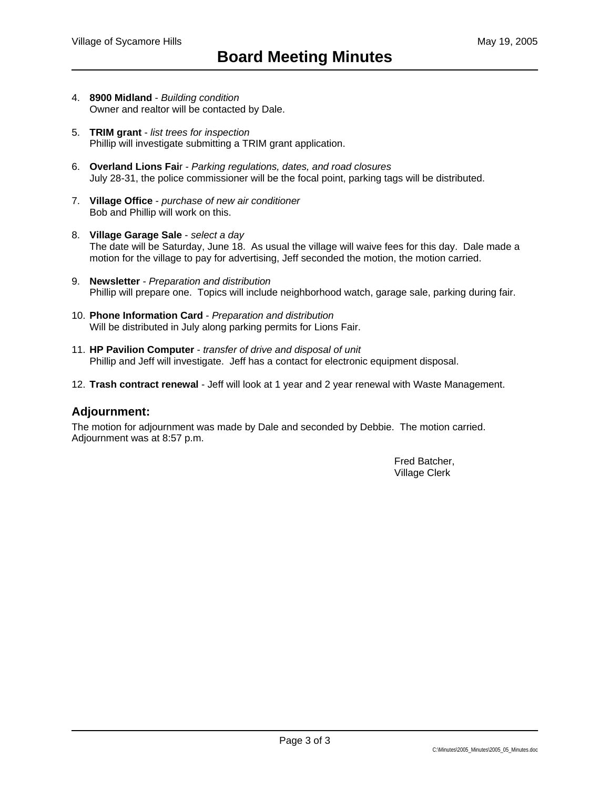- 4. **8900 Midland** - *Building condition* Owner and realtor will be contacted by Dale.
- 5. **TRIM grant** *list trees for inspection* Phillip will investigate submitting a TRIM grant application.
- 6. **Overland Lions Fai**r - *Parking regulations, dates, and road closures* July 28-31, the police commissioner will be the focal point, parking tags will be distributed.
- 7. **Village Office** *purchase of new air conditioner* Bob and Phillip will work on this.
- 8. **Village Garage Sale** *select a day* The date will be Saturday, June 18. As usual the village will waive fees for this day. Dale made a motion for the village to pay for advertising, Jeff seconded the motion, the motion carried.
- 9. **Newsletter** *Preparation and distribution* Phillip will prepare one. Topics will include neighborhood watch, garage sale, parking during fair.
- 10. **Phone Information Card** *Preparation and distribution* Will be distributed in July along parking permits for Lions Fair.
- 11. **HP Pavilion Computer** *transfer of drive and disposal of unit* Phillip and Jeff will investigate. Jeff has a contact for electronic equipment disposal.
- 12. **Trash contract renewal** Jeff will look at 1 year and 2 year renewal with Waste Management.

### **Adjournment:**

The motion for adjournment was made by Dale and seconded by Debbie. The motion carried. Adjournment was at 8:57 p.m.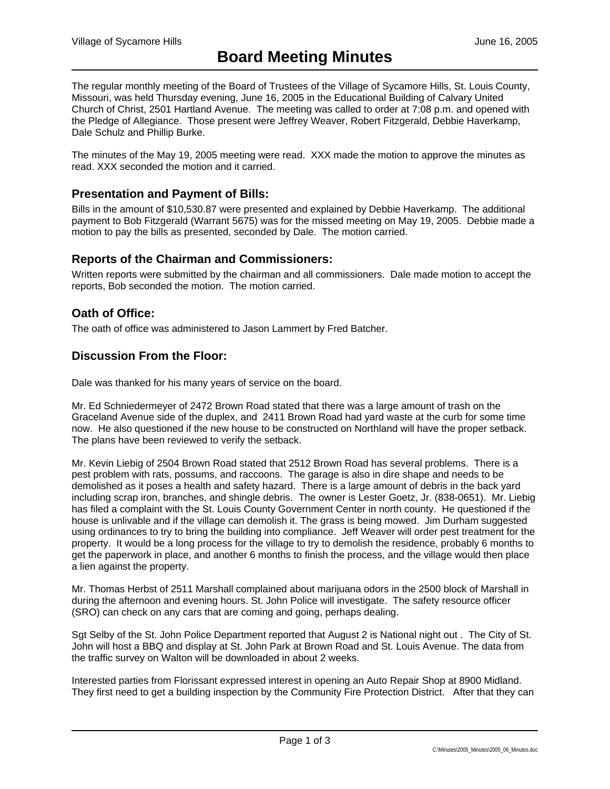The regular monthly meeting of the Board of Trustees of the Village of Sycamore Hills, St. Louis County, Missouri, was held Thursday evening, June 16, 2005 in the Educational Building of Calvary United Church of Christ, 2501 Hartland Avenue. The meeting was called to order at 7:08 p.m. and opened with the Pledge of Allegiance. Those present were Jeffrey Weaver, Robert Fitzgerald, Debbie Haverkamp, Dale Schulz and Phillip Burke.

The minutes of the May 19, 2005 meeting were read. XXX made the motion to approve the minutes as read. XXX seconded the motion and it carried.

### **Presentation and Payment of Bills:**

Bills in the amount of \$10,530.87 were presented and explained by Debbie Haverkamp. The additional payment to Bob Fitzgerald (Warrant 5675) was for the missed meeting on May 19, 2005. Debbie made a motion to pay the bills as presented, seconded by Dale. The motion carried.

#### **Reports of the Chairman and Commissioners:**

Written reports were submitted by the chairman and all commissioners. Dale made motion to accept the reports, Bob seconded the motion. The motion carried.

#### **Oath of Office:**

The oath of office was administered to Jason Lammert by Fred Batcher.

### **Discussion From the Floor:**

Dale was thanked for his many years of service on the board.

Mr. Ed Schniedermeyer of 2472 Brown Road stated that there was a large amount of trash on the Graceland Avenue side of the duplex, and 2411 Brown Road had yard waste at the curb for some time now. He also questioned if the new house to be constructed on Northland will have the proper setback. The plans have been reviewed to verify the setback.

Mr. Kevin Liebig of 2504 Brown Road stated that 2512 Brown Road has several problems. There is a pest problem with rats, possums, and raccoons. The garage is also in dire shape and needs to be demolished as it poses a health and safety hazard. There is a large amount of debris in the back yard including scrap iron, branches, and shingle debris. The owner is Lester Goetz, Jr. (838-0651). Mr. Liebig has filed a complaint with the St. Louis County Government Center in north county. He questioned if the house is unlivable and if the village can demolish it. The grass is being mowed. Jim Durham suggested using ordinances to try to bring the building into compliance. Jeff Weaver will order pest treatment for the property. It would be a long process for the village to try to demolish the residence, probably 6 months to get the paperwork in place, and another 6 months to finish the process, and the village would then place a lien against the property.

Mr. Thomas Herbst of 2511 Marshall complained about marijuana odors in the 2500 block of Marshall in during the afternoon and evening hours. St. John Police will investigate. The safety resource officer (SRO) can check on any cars that are coming and going, perhaps dealing.

Sgt Selby of the St. John Police Department reported that August 2 is National night out . The City of St. John will host a BBQ and display at St. John Park at Brown Road and St. Louis Avenue. The data from the traffic survey on Walton will be downloaded in about 2 weeks.

Interested parties from Florissant expressed interest in opening an Auto Repair Shop at 8900 Midland. They first need to get a building inspection by the Community Fire Protection District. After that they can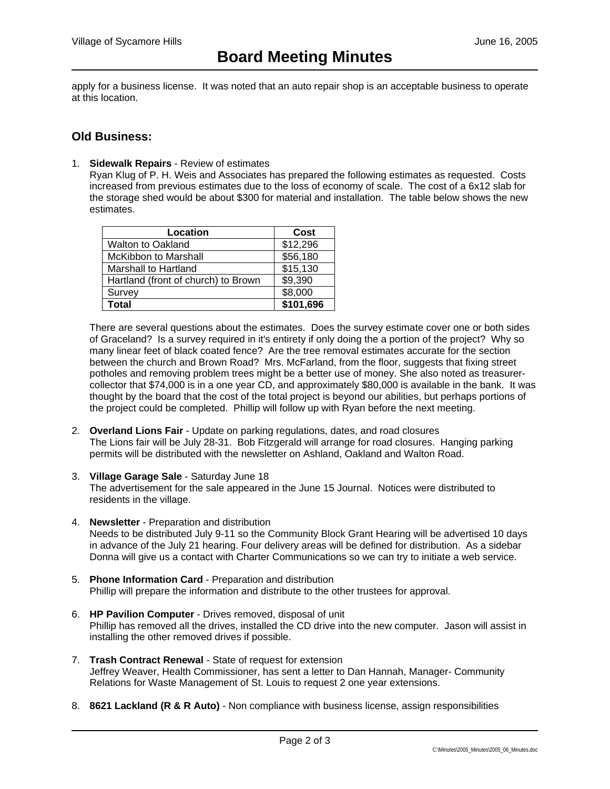apply for a business license. It was noted that an auto repair shop is an acceptable business to operate at this location.

## **Old Business:**

1. **Sidewalk Repairs** - Review of estimates

Ryan Klug of P. H. Weis and Associates has prepared the following estimates as requested. Costs increased from previous estimates due to the loss of economy of scale. The cost of a 6x12 slab for the storage shed would be about \$300 for material and installation. The table below shows the new estimates.

| Location                            | Cost      |
|-------------------------------------|-----------|
| <b>Walton to Oakland</b>            | \$12,296  |
| <b>McKibbon to Marshall</b>         | \$56,180  |
| Marshall to Hartland                | \$15,130  |
| Hartland (front of church) to Brown | \$9,390   |
| Survey                              | \$8,000   |
| Total                               | \$101,696 |

There are several questions about the estimates. Does the survey estimate cover one or both sides of Graceland? Is a survey required in it's entirety if only doing the a portion of the project? Why so many linear feet of black coated fence? Are the tree removal estimates accurate for the section between the church and Brown Road? Mrs. McFarland, from the floor, suggests that fixing street potholes and removing problem trees might be a better use of money. She also noted as treasurercollector that \$74,000 is in a one year CD, and approximately \$80,000 is available in the bank. It was thought by the board that the cost of the total project is beyond our abilities, but perhaps portions of the project could be completed. Phillip will follow up with Ryan before the next meeting.

- 2. **Overland Lions Fair** Update on parking regulations, dates, and road closures The Lions fair will be July 28-31. Bob Fitzgerald will arrange for road closures. Hanging parking permits will be distributed with the newsletter on Ashland, Oakland and Walton Road.
- 3. **Village Garage Sale** Saturday June 18 The advertisement for the sale appeared in the June 15 Journal. Notices were distributed to residents in the village.
- 4. **Newsletter** Preparation and distribution Needs to be distributed July 9-11 so the Community Block Grant Hearing will be advertised 10 days in advance of the July 21 hearing. Four delivery areas will be defined for distribution. As a sidebar Donna will give us a contact with Charter Communications so we can try to initiate a web service.
- 5. **Phone Information Card** Preparation and distribution Phillip will prepare the information and distribute to the other trustees for approval.
- 6. **HP Pavilion Computer** Drives removed, disposal of unit Phillip has removed all the drives, installed the CD drive into the new computer. Jason will assist in installing the other removed drives if possible.
- 7. **Trash Contract Renewal**  State of request for extension Jeffrey Weaver, Health Commissioner, has sent a letter to Dan Hannah, Manager- Community Relations for Waste Management of St. Louis to request 2 one year extensions.
- 8. **8621 Lackland (R & R Auto)** Non compliance with business license, assign responsibilities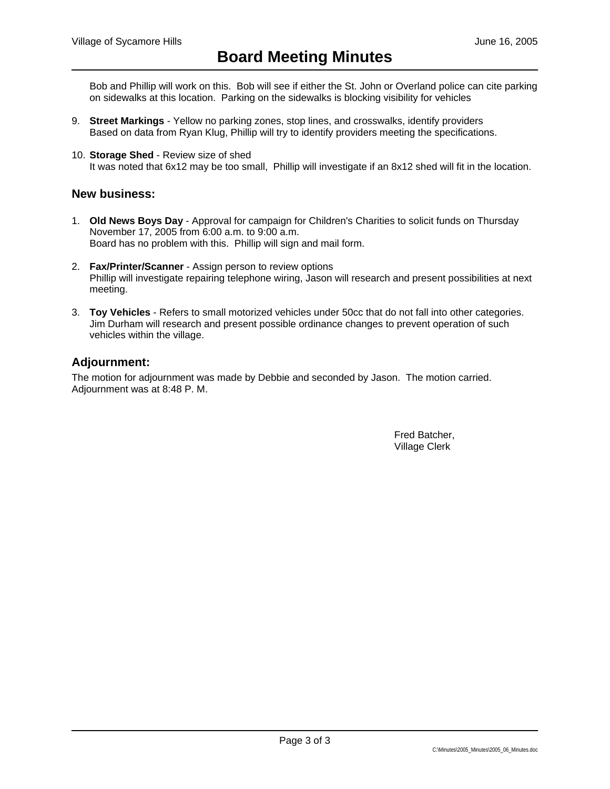Bob and Phillip will work on this. Bob will see if either the St. John or Overland police can cite parking on sidewalks at this location. Parking on the sidewalks is blocking visibility for vehicles

- 9. **Street Markings** Yellow no parking zones, stop lines, and crosswalks, identify providers Based on data from Ryan Klug, Phillip will try to identify providers meeting the specifications.
- 10. **Storage Shed** Review size of shed It was noted that 6x12 may be too small, Phillip will investigate if an 8x12 shed will fit in the location.

## **New business:**

- 1. **Old News Boys Day** Approval for campaign for Children's Charities to solicit funds on Thursday November 17, 2005 from 6:00 a.m. to 9:00 a.m. Board has no problem with this. Phillip will sign and mail form.
- 2. **Fax/Printer/Scanner** Assign person to review options Phillip will investigate repairing telephone wiring, Jason will research and present possibilities at next meeting.
- 3. **Toy Vehicles** Refers to small motorized vehicles under 50cc that do not fall into other categories. Jim Durham will research and present possible ordinance changes to prevent operation of such vehicles within the village.

#### **Adjournment:**

The motion for adjournment was made by Debbie and seconded by Jason. The motion carried. Adjournment was at 8:48 P. M.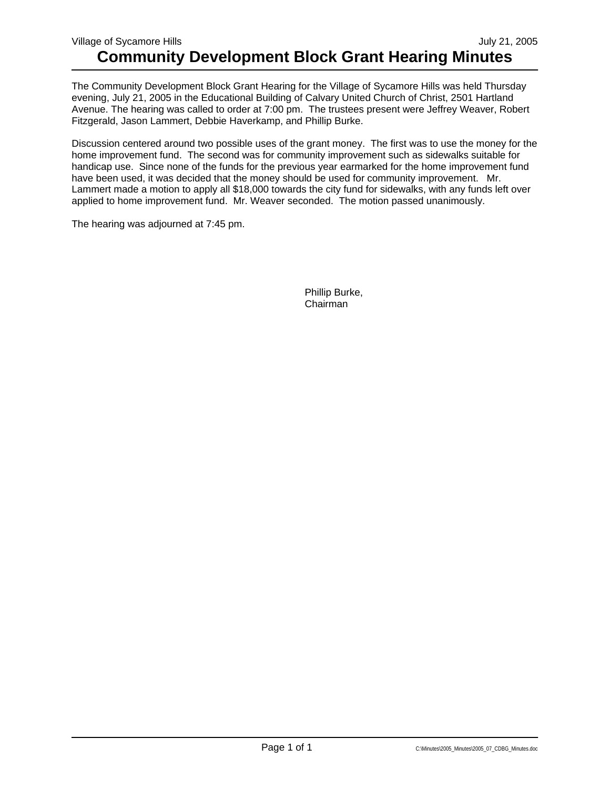The Community Development Block Grant Hearing for the Village of Sycamore Hills was held Thursday evening, July 21, 2005 in the Educational Building of Calvary United Church of Christ, 2501 Hartland Avenue. The hearing was called to order at 7:00 pm. The trustees present were Jeffrey Weaver, Robert Fitzgerald, Jason Lammert, Debbie Haverkamp, and Phillip Burke.

Discussion centered around two possible uses of the grant money. The first was to use the money for the home improvement fund. The second was for community improvement such as sidewalks suitable for handicap use. Since none of the funds for the previous year earmarked for the home improvement fund have been used, it was decided that the money should be used for community improvement. Mr. Lammert made a motion to apply all \$18,000 towards the city fund for sidewalks, with any funds left over applied to home improvement fund. Mr. Weaver seconded. The motion passed unanimously.

The hearing was adjourned at 7:45 pm.

 Phillip Burke, Chairman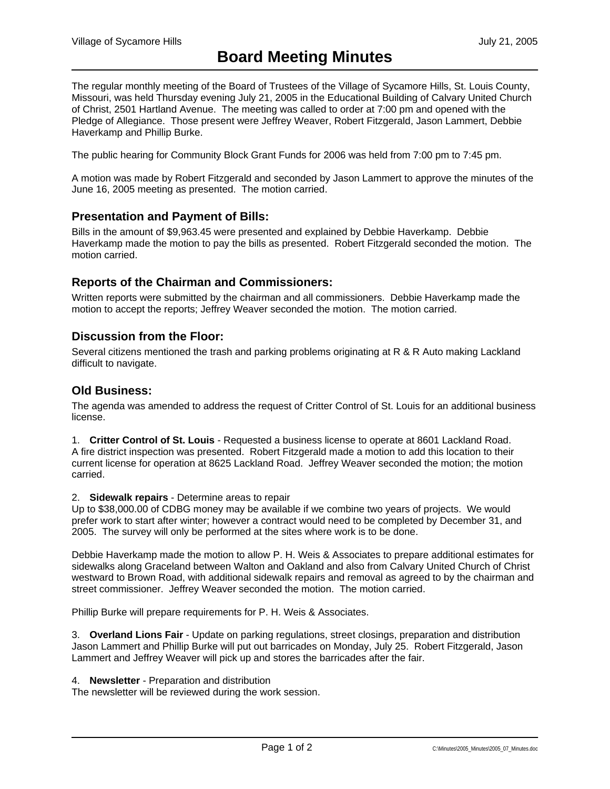The regular monthly meeting of the Board of Trustees of the Village of Sycamore Hills, St. Louis County, Missouri, was held Thursday evening July 21, 2005 in the Educational Building of Calvary United Church of Christ, 2501 Hartland Avenue. The meeting was called to order at 7:00 pm and opened with the Pledge of Allegiance. Those present were Jeffrey Weaver, Robert Fitzgerald, Jason Lammert, Debbie Haverkamp and Phillip Burke.

The public hearing for Community Block Grant Funds for 2006 was held from 7:00 pm to 7:45 pm.

A motion was made by Robert Fitzgerald and seconded by Jason Lammert to approve the minutes of the June 16, 2005 meeting as presented. The motion carried.

#### **Presentation and Payment of Bills:**

Bills in the amount of \$9,963.45 were presented and explained by Debbie Haverkamp. Debbie Haverkamp made the motion to pay the bills as presented. Robert Fitzgerald seconded the motion. The motion carried.

### **Reports of the Chairman and Commissioners:**

Written reports were submitted by the chairman and all commissioners. Debbie Haverkamp made the motion to accept the reports; Jeffrey Weaver seconded the motion. The motion carried.

### **Discussion from the Floor:**

Several citizens mentioned the trash and parking problems originating at R & R Auto making Lackland difficult to navigate.

## **Old Business:**

The agenda was amended to address the request of Critter Control of St. Louis for an additional business license.

1. **Critter Control of St. Louis** - Requested a business license to operate at 8601 Lackland Road. A fire district inspection was presented. Robert Fitzgerald made a motion to add this location to their current license for operation at 8625 Lackland Road. Jeffrey Weaver seconded the motion; the motion carried.

#### 2. **Sidewalk repairs** - Determine areas to repair

Up to \$38,000.00 of CDBG money may be available if we combine two years of projects. We would prefer work to start after winter; however a contract would need to be completed by December 31, and 2005. The survey will only be performed at the sites where work is to be done.

Debbie Haverkamp made the motion to allow P. H. Weis & Associates to prepare additional estimates for sidewalks along Graceland between Walton and Oakland and also from Calvary United Church of Christ westward to Brown Road, with additional sidewalk repairs and removal as agreed to by the chairman and street commissioner. Jeffrey Weaver seconded the motion. The motion carried.

Phillip Burke will prepare requirements for P. H. Weis & Associates.

3. **Overland Lions Fair** - Update on parking regulations, street closings, preparation and distribution Jason Lammert and Phillip Burke will put out barricades on Monday, July 25. Robert Fitzgerald, Jason Lammert and Jeffrey Weaver will pick up and stores the barricades after the fair.

#### 4. **Newsletter** - Preparation and distribution

The newsletter will be reviewed during the work session.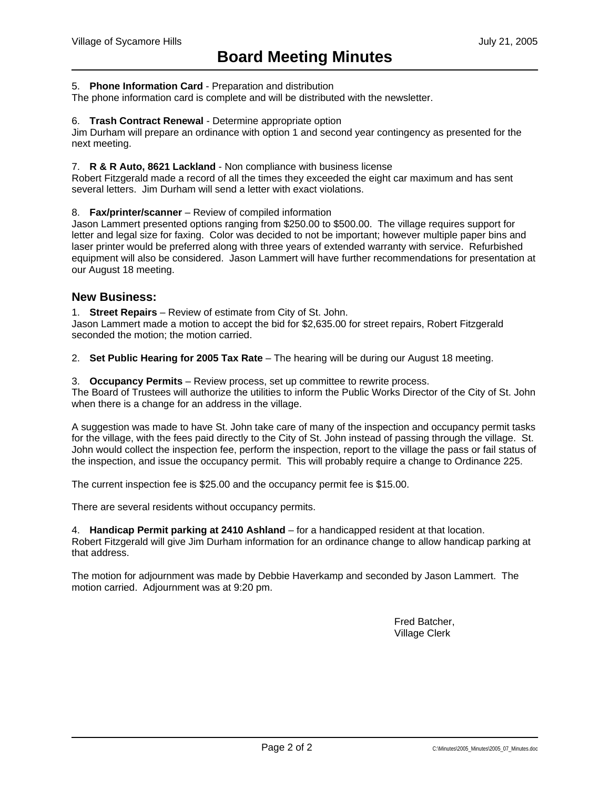#### 5. **Phone Information Card** - Preparation and distribution

The phone information card is complete and will be distributed with the newsletter.

#### 6. **Trash Contract Renewal** - Determine appropriate option

Jim Durham will prepare an ordinance with option 1 and second year contingency as presented for the next meeting.

#### 7. **R & R Auto, 8621 Lackland** - Non compliance with business license

Robert Fitzgerald made a record of all the times they exceeded the eight car maximum and has sent several letters. Jim Durham will send a letter with exact violations.

#### 8. **Fax/printer/scanner** – Review of compiled information

Jason Lammert presented options ranging from \$250.00 to \$500.00. The village requires support for letter and legal size for faxing. Color was decided to not be important; however multiple paper bins and laser printer would be preferred along with three years of extended warranty with service. Refurbished equipment will also be considered. Jason Lammert will have further recommendations for presentation at our August 18 meeting.

#### **New Business:**

1. **Street Repairs** – Review of estimate from City of St. John.

Jason Lammert made a motion to accept the bid for \$2,635.00 for street repairs, Robert Fitzgerald seconded the motion; the motion carried.

2. **Set Public Hearing for 2005 Tax Rate** – The hearing will be during our August 18 meeting.

3. **Occupancy Permits** – Review process, set up committee to rewrite process.

The Board of Trustees will authorize the utilities to inform the Public Works Director of the City of St. John when there is a change for an address in the village.

A suggestion was made to have St. John take care of many of the inspection and occupancy permit tasks for the village, with the fees paid directly to the City of St. John instead of passing through the village. St. John would collect the inspection fee, perform the inspection, report to the village the pass or fail status of the inspection, and issue the occupancy permit. This will probably require a change to Ordinance 225.

The current inspection fee is \$25.00 and the occupancy permit fee is \$15.00.

There are several residents without occupancy permits.

4. **Handicap Permit parking at 2410 Ashland** – for a handicapped resident at that location. Robert Fitzgerald will give Jim Durham information for an ordinance change to allow handicap parking at that address.

The motion for adjournment was made by Debbie Haverkamp and seconded by Jason Lammert. The motion carried. Adjournment was at 9:20 pm.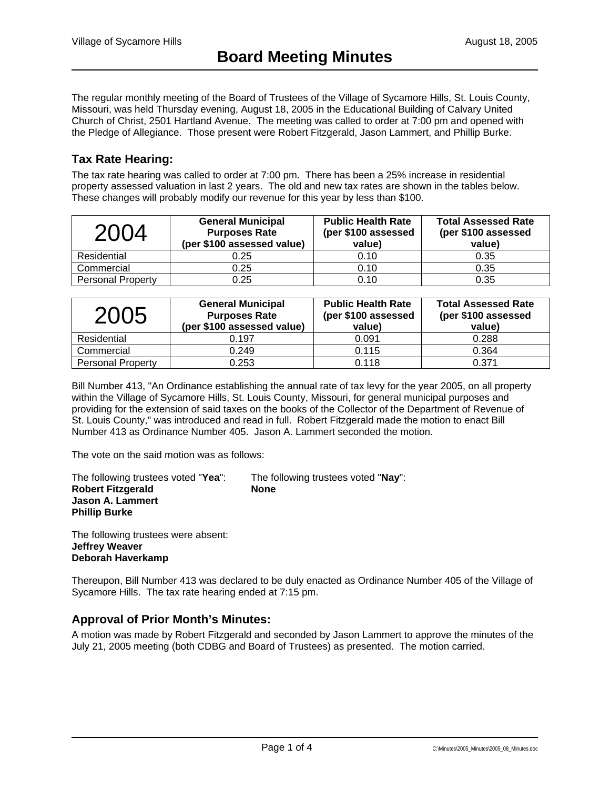The regular monthly meeting of the Board of Trustees of the Village of Sycamore Hills, St. Louis County, Missouri, was held Thursday evening, August 18, 2005 in the Educational Building of Calvary United Church of Christ, 2501 Hartland Avenue. The meeting was called to order at 7:00 pm and opened with the Pledge of Allegiance. Those present were Robert Fitzgerald, Jason Lammert, and Phillip Burke.

# **Tax Rate Hearing:**

The tax rate hearing was called to order at 7:00 pm. There has been a 25% increase in residential property assessed valuation in last 2 years. The old and new tax rates are shown in the tables below. These changes will probably modify our revenue for this year by less than \$100.

| 2004                     | <b>General Municipal</b><br><b>Purposes Rate</b><br>(per \$100 assessed value) | <b>Public Health Rate</b><br>(per \$100 assessed<br>value) | <b>Total Assessed Rate</b><br>(per \$100 assessed<br>value) |  |
|--------------------------|--------------------------------------------------------------------------------|------------------------------------------------------------|-------------------------------------------------------------|--|
| Residential              | 0.25                                                                           | 0.10                                                       | 0.35                                                        |  |
| Commercial               | 0.25                                                                           | 0.10                                                       | 0.35                                                        |  |
| <b>Personal Property</b> | 0.25                                                                           | 0.10                                                       | 0.35                                                        |  |

| 2005                     | <b>General Municipal</b><br><b>Purposes Rate</b><br>(per \$100 assessed value) | <b>Public Health Rate</b><br>(per \$100 assessed<br>value) | <b>Total Assessed Rate</b><br>(per \$100 assessed<br>value) |
|--------------------------|--------------------------------------------------------------------------------|------------------------------------------------------------|-------------------------------------------------------------|
| Residential              | 0.197                                                                          | 0.091                                                      | 0.288                                                       |
| Commercial               | 0.249                                                                          | 0.115                                                      | 0.364                                                       |
| <b>Personal Property</b> | 0.253                                                                          | 0.118                                                      | 0.371                                                       |

Bill Number 413, "An Ordinance establishing the annual rate of tax levy for the year 2005, on all property within the Village of Sycamore Hills, St. Louis County, Missouri, for general municipal purposes and providing for the extension of said taxes on the books of the Collector of the Department of Revenue of St. Louis County," was introduced and read in full. Robert Fitzgerald made the motion to enact Bill Number 413 as Ordinance Number 405. Jason A. Lammert seconded the motion.

The vote on the said motion was as follows:

The following trustees voted "**Yea**": The following trustees voted "**Nay**": **Robert Fitzgerald None Jason A. Lammert Phillip Burke** 

The following trustees were absent: **Jeffrey Weaver Deborah Haverkamp** 

Thereupon, Bill Number 413 was declared to be duly enacted as Ordinance Number 405 of the Village of Sycamore Hills. The tax rate hearing ended at 7:15 pm.

# **Approval of Prior Month's Minutes:**

A motion was made by Robert Fitzgerald and seconded by Jason Lammert to approve the minutes of the July 21, 2005 meeting (both CDBG and Board of Trustees) as presented. The motion carried.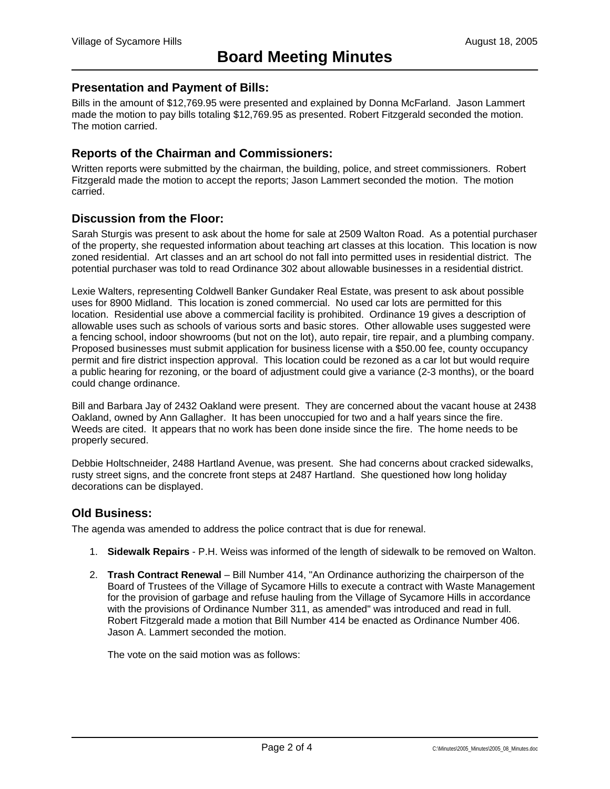## **Presentation and Payment of Bills:**

Bills in the amount of \$12,769.95 were presented and explained by Donna McFarland. Jason Lammert made the motion to pay bills totaling \$12,769.95 as presented. Robert Fitzgerald seconded the motion. The motion carried.

# **Reports of the Chairman and Commissioners:**

Written reports were submitted by the chairman, the building, police, and street commissioners. Robert Fitzgerald made the motion to accept the reports; Jason Lammert seconded the motion. The motion carried.

## **Discussion from the Floor:**

Sarah Sturgis was present to ask about the home for sale at 2509 Walton Road. As a potential purchaser of the property, she requested information about teaching art classes at this location. This location is now zoned residential. Art classes and an art school do not fall into permitted uses in residential district. The potential purchaser was told to read Ordinance 302 about allowable businesses in a residential district.

Lexie Walters, representing Coldwell Banker Gundaker Real Estate, was present to ask about possible uses for 8900 Midland. This location is zoned commercial. No used car lots are permitted for this location. Residential use above a commercial facility is prohibited. Ordinance 19 gives a description of allowable uses such as schools of various sorts and basic stores. Other allowable uses suggested were a fencing school, indoor showrooms (but not on the lot), auto repair, tire repair, and a plumbing company. Proposed businesses must submit application for business license with a \$50.00 fee, county occupancy permit and fire district inspection approval. This location could be rezoned as a car lot but would require a public hearing for rezoning, or the board of adjustment could give a variance (2-3 months), or the board could change ordinance.

Bill and Barbara Jay of 2432 Oakland were present. They are concerned about the vacant house at 2438 Oakland, owned by Ann Gallagher. It has been unoccupied for two and a half years since the fire. Weeds are cited. It appears that no work has been done inside since the fire. The home needs to be properly secured.

Debbie Holtschneider, 2488 Hartland Avenue, was present. She had concerns about cracked sidewalks, rusty street signs, and the concrete front steps at 2487 Hartland. She questioned how long holiday decorations can be displayed.

### **Old Business:**

The agenda was amended to address the police contract that is due for renewal.

- 1. **Sidewalk Repairs** P.H. Weiss was informed of the length of sidewalk to be removed on Walton.
- 2. **Trash Contract Renewal**  Bill Number 414, "An Ordinance authorizing the chairperson of the Board of Trustees of the Village of Sycamore Hills to execute a contract with Waste Management for the provision of garbage and refuse hauling from the Village of Sycamore Hills in accordance with the provisions of Ordinance Number 311, as amended" was introduced and read in full. Robert Fitzgerald made a motion that Bill Number 414 be enacted as Ordinance Number 406. Jason A. Lammert seconded the motion.

The vote on the said motion was as follows: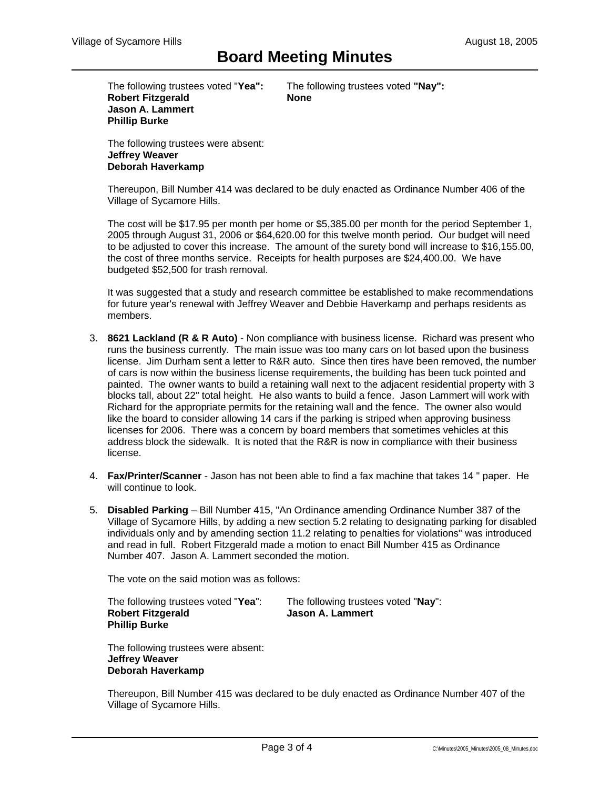The following trustees voted "**Yea":** The following trustees voted **"Nay": Robert Fitzgerald None Jason A. Lammert Phillip Burke** 

The following trustees were absent: **Jeffrey Weaver Deborah Haverkamp**

Thereupon, Bill Number 414 was declared to be duly enacted as Ordinance Number 406 of the Village of Sycamore Hills.

The cost will be \$17.95 per month per home or \$5,385.00 per month for the period September 1, 2005 through August 31, 2006 or \$64,620.00 for this twelve month period. Our budget will need to be adjusted to cover this increase. The amount of the surety bond will increase to \$16,155.00, the cost of three months service. Receipts for health purposes are \$24,400.00. We have budgeted \$52,500 for trash removal.

It was suggested that a study and research committee be established to make recommendations for future year's renewal with Jeffrey Weaver and Debbie Haverkamp and perhaps residents as members.

- 3. **8621 Lackland (R & R Auto)** Non compliance with business license. Richard was present who runs the business currently. The main issue was too many cars on lot based upon the business license. Jim Durham sent a letter to R&R auto. Since then tires have been removed, the number of cars is now within the business license requirements, the building has been tuck pointed and painted. The owner wants to build a retaining wall next to the adjacent residential property with 3 blocks tall, about 22" total height. He also wants to build a fence. Jason Lammert will work with Richard for the appropriate permits for the retaining wall and the fence. The owner also would like the board to consider allowing 14 cars if the parking is striped when approving business licenses for 2006. There was a concern by board members that sometimes vehicles at this address block the sidewalk. It is noted that the R&R is now in compliance with their business license.
- 4. **Fax/Printer/Scanner** Jason has not been able to find a fax machine that takes 14 " paper. He will continue to look.
- 5. **Disabled Parking** Bill Number 415, "An Ordinance amending Ordinance Number 387 of the Village of Sycamore Hills, by adding a new section 5.2 relating to designating parking for disabled individuals only and by amending section 11.2 relating to penalties for violations" was introduced and read in full. Robert Fitzgerald made a motion to enact Bill Number 415 as Ordinance Number 407. Jason A. Lammert seconded the motion.

The vote on the said motion was as follows:

The following trustees voted "**Yea**": The following trustees voted "**Nay**": **Robert Fitzgerald Jason A. Lammert Phillip Burke** 

The following trustees were absent: **Jeffrey Weaver Deborah Haverkamp** 

Thereupon, Bill Number 415 was declared to be duly enacted as Ordinance Number 407 of the Village of Sycamore Hills.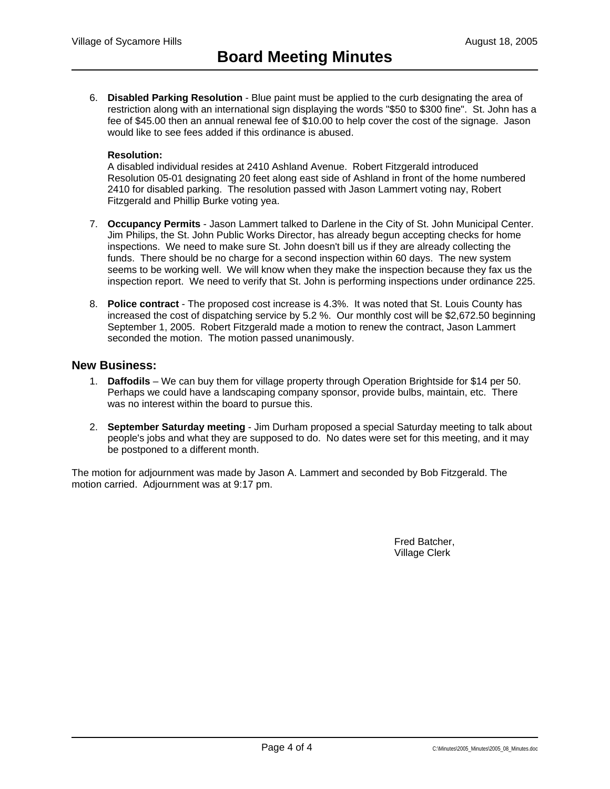6. **Disabled Parking Resolution** - Blue paint must be applied to the curb designating the area of restriction along with an international sign displaying the words "\$50 to \$300 fine". St. John has a fee of \$45.00 then an annual renewal fee of \$10.00 to help cover the cost of the signage. Jason would like to see fees added if this ordinance is abused.

#### **Resolution:**

A disabled individual resides at 2410 Ashland Avenue. Robert Fitzgerald introduced Resolution 05-01 designating 20 feet along east side of Ashland in front of the home numbered 2410 for disabled parking. The resolution passed with Jason Lammert voting nay, Robert Fitzgerald and Phillip Burke voting yea.

- 7. **Occupancy Permits** Jason Lammert talked to Darlene in the City of St. John Municipal Center. Jim Philips, the St. John Public Works Director, has already begun accepting checks for home inspections. We need to make sure St. John doesn't bill us if they are already collecting the funds. There should be no charge for a second inspection within 60 days. The new system seems to be working well. We will know when they make the inspection because they fax us the inspection report. We need to verify that St. John is performing inspections under ordinance 225.
- 8. **Police contract** The proposed cost increase is 4.3%. It was noted that St. Louis County has increased the cost of dispatching service by 5.2 %. Our monthly cost will be \$2,672.50 beginning September 1, 2005. Robert Fitzgerald made a motion to renew the contract, Jason Lammert seconded the motion. The motion passed unanimously.

#### **New Business:**

- 1. **Daffodils** We can buy them for village property through Operation Brightside for \$14 per 50. Perhaps we could have a landscaping company sponsor, provide bulbs, maintain, etc. There was no interest within the board to pursue this.
- 2. **September Saturday meeting**  Jim Durham proposed a special Saturday meeting to talk about people's jobs and what they are supposed to do. No dates were set for this meeting, and it may be postponed to a different month.

The motion for adjournment was made by Jason A. Lammert and seconded by Bob Fitzgerald. The motion carried. Adjournment was at 9:17 pm.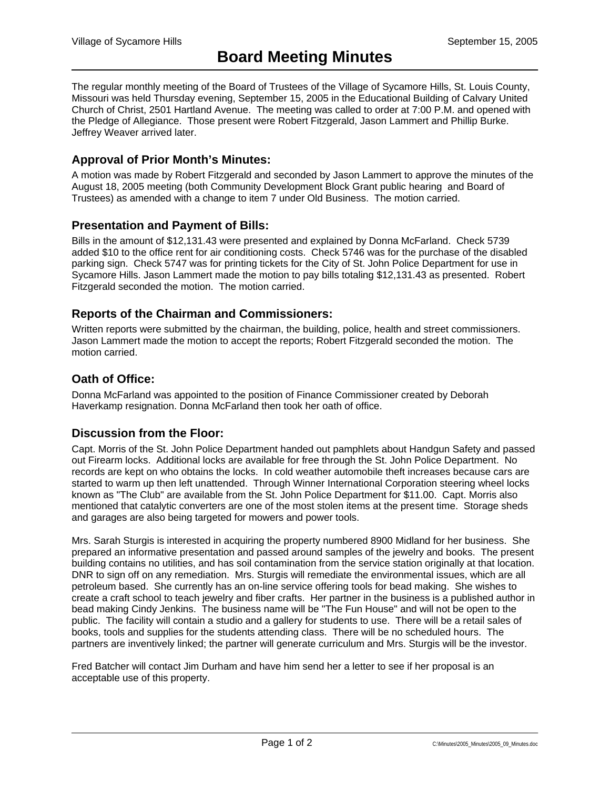The regular monthly meeting of the Board of Trustees of the Village of Sycamore Hills, St. Louis County, Missouri was held Thursday evening, September 15, 2005 in the Educational Building of Calvary United Church of Christ, 2501 Hartland Avenue. The meeting was called to order at 7:00 P.M. and opened with the Pledge of Allegiance. Those present were Robert Fitzgerald, Jason Lammert and Phillip Burke. Jeffrey Weaver arrived later.

# **Approval of Prior Month's Minutes:**

A motion was made by Robert Fitzgerald and seconded by Jason Lammert to approve the minutes of the August 18, 2005 meeting (both Community Development Block Grant public hearing and Board of Trustees) as amended with a change to item 7 under Old Business. The motion carried.

### **Presentation and Payment of Bills:**

Bills in the amount of \$12,131.43 were presented and explained by Donna McFarland. Check 5739 added \$10 to the office rent for air conditioning costs. Check 5746 was for the purchase of the disabled parking sign. Check 5747 was for printing tickets for the City of St. John Police Department for use in Sycamore Hills. Jason Lammert made the motion to pay bills totaling \$12,131.43 as presented. Robert Fitzgerald seconded the motion. The motion carried.

#### **Reports of the Chairman and Commissioners:**

Written reports were submitted by the chairman, the building, police, health and street commissioners. Jason Lammert made the motion to accept the reports; Robert Fitzgerald seconded the motion. The motion carried.

### **Oath of Office:**

Donna McFarland was appointed to the position of Finance Commissioner created by Deborah Haverkamp resignation. Donna McFarland then took her oath of office.

### **Discussion from the Floor:**

Capt. Morris of the St. John Police Department handed out pamphlets about Handgun Safety and passed out Firearm locks. Additional locks are available for free through the St. John Police Department. No records are kept on who obtains the locks. In cold weather automobile theft increases because cars are started to warm up then left unattended. Through Winner International Corporation steering wheel locks known as "The Club" are available from the St. John Police Department for \$11.00. Capt. Morris also mentioned that catalytic converters are one of the most stolen items at the present time. Storage sheds and garages are also being targeted for mowers and power tools.

Mrs. Sarah Sturgis is interested in acquiring the property numbered 8900 Midland for her business. She prepared an informative presentation and passed around samples of the jewelry and books. The present building contains no utilities, and has soil contamination from the service station originally at that location. DNR to sign off on any remediation. Mrs. Sturgis will remediate the environmental issues, which are all petroleum based. She currently has an on-line service offering tools for bead making. She wishes to create a craft school to teach jewelry and fiber crafts. Her partner in the business is a published author in bead making Cindy Jenkins. The business name will be "The Fun House" and will not be open to the public. The facility will contain a studio and a gallery for students to use. There will be a retail sales of books, tools and supplies for the students attending class. There will be no scheduled hours. The partners are inventively linked; the partner will generate curriculum and Mrs. Sturgis will be the investor.

Fred Batcher will contact Jim Durham and have him send her a letter to see if her proposal is an acceptable use of this property.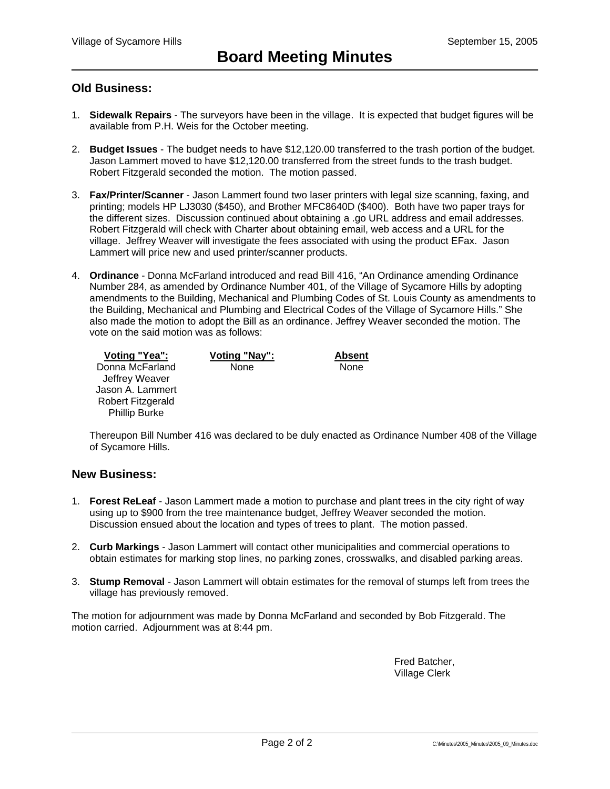# **Old Business:**

- 1. **Sidewalk Repairs** The surveyors have been in the village. It is expected that budget figures will be available from P.H. Weis for the October meeting.
- 2. **Budget Issues**  The budget needs to have \$12,120.00 transferred to the trash portion of the budget. Jason Lammert moved to have \$12,120.00 transferred from the street funds to the trash budget. Robert Fitzgerald seconded the motion. The motion passed.
- 3. **Fax/Printer/Scanner** Jason Lammert found two laser printers with legal size scanning, faxing, and printing; models HP LJ3030 (\$450), and Brother MFC8640D (\$400). Both have two paper trays for the different sizes. Discussion continued about obtaining a .go URL address and email addresses. Robert Fitzgerald will check with Charter about obtaining email, web access and a URL for the village. Jeffrey Weaver will investigate the fees associated with using the product EFax. Jason Lammert will price new and used printer/scanner products.
- 4. **Ordinance** Donna McFarland introduced and read Bill 416, "An Ordinance amending Ordinance Number 284, as amended by Ordinance Number 401, of the Village of Sycamore Hills by adopting amendments to the Building, Mechanical and Plumbing Codes of St. Louis County as amendments to the Building, Mechanical and Plumbing and Electrical Codes of the Village of Sycamore Hills." She also made the motion to adopt the Bill as an ordinance. Jeffrey Weaver seconded the motion. The vote on the said motion was as follows:

| Voting "Yea":        | Voting "Nay": | Absent |
|----------------------|---------------|--------|
| Donna McFarland      | None          | None   |
| Jeffrey Weaver       |               |        |
| Jason A. Lammert     |               |        |
| Robert Fitzgerald    |               |        |
| <b>Phillip Burke</b> |               |        |

Thereupon Bill Number 416 was declared to be duly enacted as Ordinance Number 408 of the Village of Sycamore Hills.

## **New Business:**

- 1. **Forest ReLeaf** Jason Lammert made a motion to purchase and plant trees in the city right of way using up to \$900 from the tree maintenance budget, Jeffrey Weaver seconded the motion. Discussion ensued about the location and types of trees to plant. The motion passed.
- 2. **Curb Markings** Jason Lammert will contact other municipalities and commercial operations to obtain estimates for marking stop lines, no parking zones, crosswalks, and disabled parking areas.
- 3. **Stump Removal** Jason Lammert will obtain estimates for the removal of stumps left from trees the village has previously removed.

The motion for adjournment was made by Donna McFarland and seconded by Bob Fitzgerald. The motion carried. Adjournment was at 8:44 pm.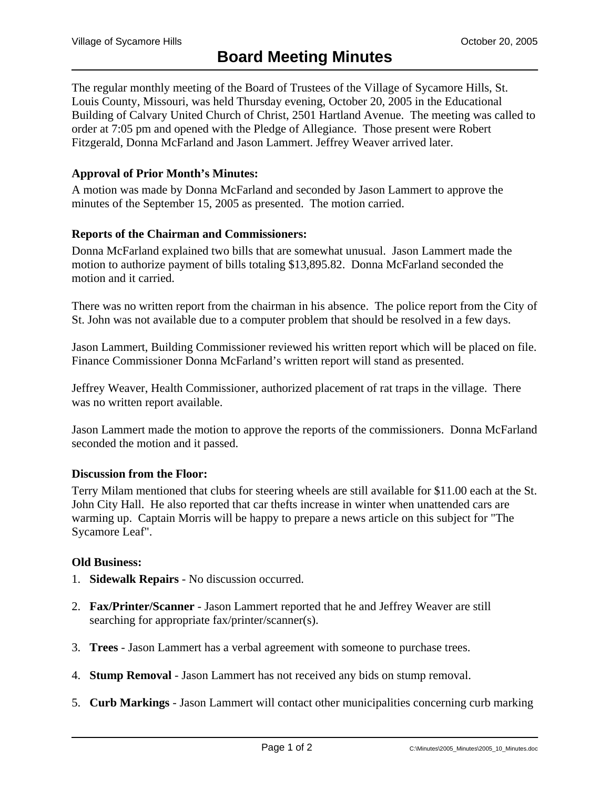The regular monthly meeting of the Board of Trustees of the Village of Sycamore Hills, St. Louis County, Missouri, was held Thursday evening, October 20, 2005 in the Educational Building of Calvary United Church of Christ, 2501 Hartland Avenue. The meeting was called to order at 7:05 pm and opened with the Pledge of Allegiance. Those present were Robert Fitzgerald, Donna McFarland and Jason Lammert. Jeffrey Weaver arrived later.

# **Approval of Prior Month's Minutes:**

A motion was made by Donna McFarland and seconded by Jason Lammert to approve the minutes of the September 15, 2005 as presented. The motion carried.

# **Reports of the Chairman and Commissioners:**

Donna McFarland explained two bills that are somewhat unusual. Jason Lammert made the motion to authorize payment of bills totaling \$13,895.82. Donna McFarland seconded the motion and it carried.

There was no written report from the chairman in his absence. The police report from the City of St. John was not available due to a computer problem that should be resolved in a few days.

Jason Lammert, Building Commissioner reviewed his written report which will be placed on file. Finance Commissioner Donna McFarland's written report will stand as presented.

Jeffrey Weaver, Health Commissioner, authorized placement of rat traps in the village. There was no written report available.

Jason Lammert made the motion to approve the reports of the commissioners. Donna McFarland seconded the motion and it passed.

### **Discussion from the Floor:**

Terry Milam mentioned that clubs for steering wheels are still available for \$11.00 each at the St. John City Hall. He also reported that car thefts increase in winter when unattended cars are warming up. Captain Morris will be happy to prepare a news article on this subject for "The Sycamore Leaf".

### **Old Business:**

- 1. **Sidewalk Repairs** No discussion occurred.
- 2. **Fax/Printer/Scanner** Jason Lammert reported that he and Jeffrey Weaver are still searching for appropriate fax/printer/scanner(s).
- 3. **Trees** Jason Lammert has a verbal agreement with someone to purchase trees.
- 4. **Stump Removal** Jason Lammert has not received any bids on stump removal.
- 5. **Curb Markings** Jason Lammert will contact other municipalities concerning curb marking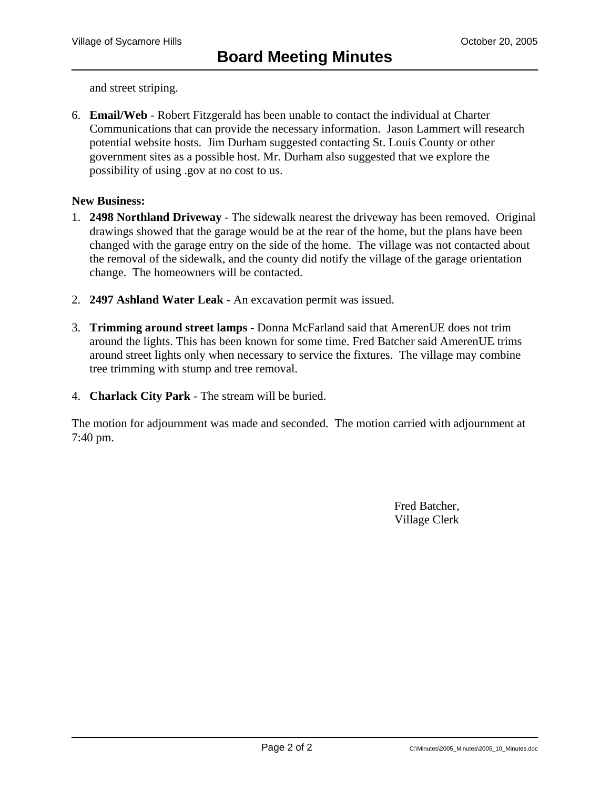and street striping.

6. **Email/Web** - Robert Fitzgerald has been unable to contact the individual at Charter Communications that can provide the necessary information. Jason Lammert will research potential website hosts. Jim Durham suggested contacting St. Louis County or other government sites as a possible host. Mr. Durham also suggested that we explore the possibility of using .gov at no cost to us.

## **New Business:**

- 1. **2498 Northland Driveway** The sidewalk nearest the driveway has been removed. Original drawings showed that the garage would be at the rear of the home, but the plans have been changed with the garage entry on the side of the home. The village was not contacted about the removal of the sidewalk, and the county did notify the village of the garage orientation change. The homeowners will be contacted.
- 2. **2497 Ashland Water Leak** An excavation permit was issued.
- 3. **Trimming around street lamps** Donna McFarland said that AmerenUE does not trim around the lights. This has been known for some time. Fred Batcher said AmerenUE trims around street lights only when necessary to service the fixtures. The village may combine tree trimming with stump and tree removal.
- 4. **Charlack City Park** The stream will be buried.

The motion for adjournment was made and seconded. The motion carried with adjournment at 7:40 pm.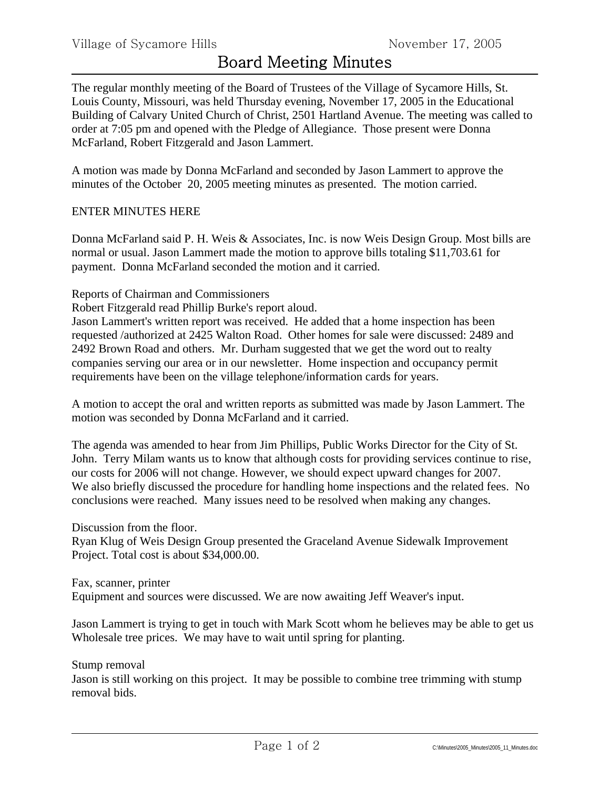The regular monthly meeting of the Board of Trustees of the Village of Sycamore Hills, St. Louis County, Missouri, was held Thursday evening, November 17, 2005 in the Educational Building of Calvary United Church of Christ, 2501 Hartland Avenue. The meeting was called to order at 7:05 pm and opened with the Pledge of Allegiance. Those present were Donna McFarland, Robert Fitzgerald and Jason Lammert.

A motion was made by Donna McFarland and seconded by Jason Lammert to approve the minutes of the October 20, 2005 meeting minutes as presented. The motion carried.

# ENTER MINUTES HERE

Donna McFarland said P. H. Weis & Associates, Inc. is now Weis Design Group. Most bills are normal or usual. Jason Lammert made the motion to approve bills totaling \$11,703.61 for payment. Donna McFarland seconded the motion and it carried.

## Reports of Chairman and Commissioners

Robert Fitzgerald read Phillip Burke's report aloud.

Jason Lammert's written report was received. He added that a home inspection has been requested /authorized at 2425 Walton Road. Other homes for sale were discussed: 2489 and 2492 Brown Road and others. Mr. Durham suggested that we get the word out to realty companies serving our area or in our newsletter. Home inspection and occupancy permit requirements have been on the village telephone/information cards for years.

A motion to accept the oral and written reports as submitted was made by Jason Lammert. The motion was seconded by Donna McFarland and it carried.

The agenda was amended to hear from Jim Phillips, Public Works Director for the City of St. John. Terry Milam wants us to know that although costs for providing services continue to rise, our costs for 2006 will not change. However, we should expect upward changes for 2007. We also briefly discussed the procedure for handling home inspections and the related fees. No conclusions were reached. Many issues need to be resolved when making any changes.

Discussion from the floor.

Ryan Klug of Weis Design Group presented the Graceland Avenue Sidewalk Improvement Project. Total cost is about \$34,000.00.

Fax, scanner, printer Equipment and sources were discussed. We are now awaiting Jeff Weaver's input.

Jason Lammert is trying to get in touch with Mark Scott whom he believes may be able to get us Wholesale tree prices. We may have to wait until spring for planting.

Stump removal

Jason is still working on this project. It may be possible to combine tree trimming with stump removal bids.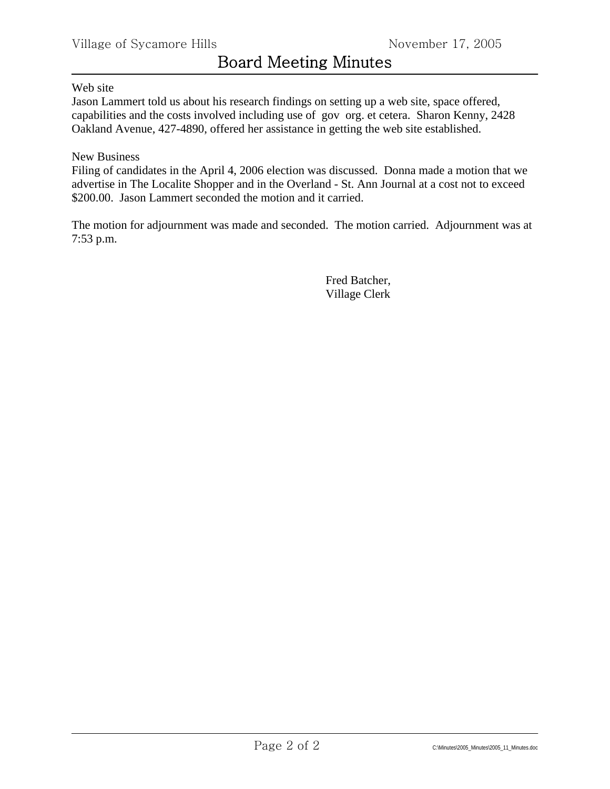# Web site

Jason Lammert told us about his research findings on setting up a web site, space offered, capabilities and the costs involved including use of gov org. et cetera. Sharon Kenny, 2428 Oakland Avenue, 427-4890, offered her assistance in getting the web site established.

# New Business

Filing of candidates in the April 4, 2006 election was discussed. Donna made a motion that we advertise in The Localite Shopper and in the Overland - St. Ann Journal at a cost not to exceed \$200.00. Jason Lammert seconded the motion and it carried.

The motion for adjournment was made and seconded. The motion carried. Adjournment was at 7:53 p.m.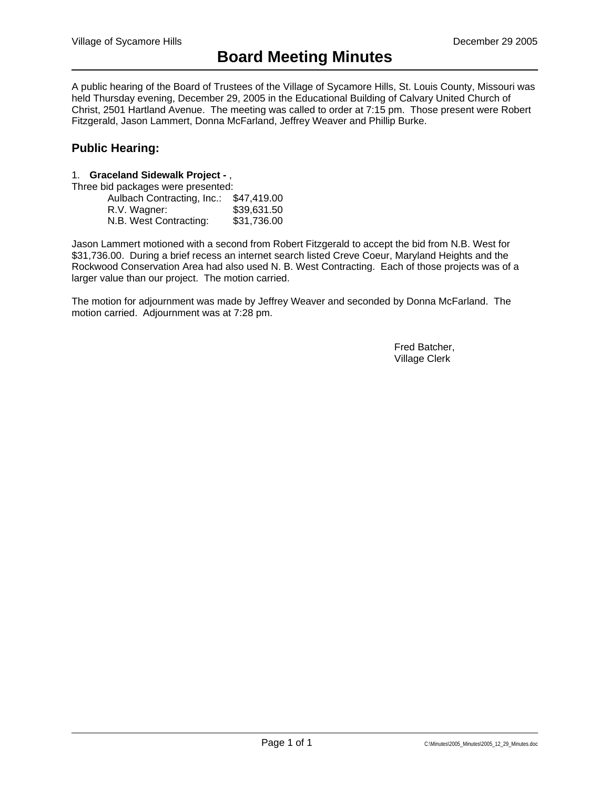A public hearing of the Board of Trustees of the Village of Sycamore Hills, St. Louis County, Missouri was held Thursday evening, December 29, 2005 in the Educational Building of Calvary United Church of Christ, 2501 Hartland Avenue. The meeting was called to order at 7:15 pm. Those present were Robert Fitzgerald, Jason Lammert, Donna McFarland, Jeffrey Weaver and Phillip Burke.

# **Public Hearing:**

#### 1. **Graceland Sidewalk Project -** ,

Three bid packages were presented:

| Aulbach Contracting, Inc.: | \$47,419.00 |
|----------------------------|-------------|
| R.V. Wagner:               | \$39,631.50 |
| N.B. West Contracting:     | \$31,736.00 |

Jason Lammert motioned with a second from Robert Fitzgerald to accept the bid from N.B. West for \$31,736.00. During a brief recess an internet search listed Creve Coeur, Maryland Heights and the Rockwood Conservation Area had also used N. B. West Contracting. Each of those projects was of a larger value than our project. The motion carried.

The motion for adjournment was made by Jeffrey Weaver and seconded by Donna McFarland. The motion carried. Adjournment was at 7:28 pm.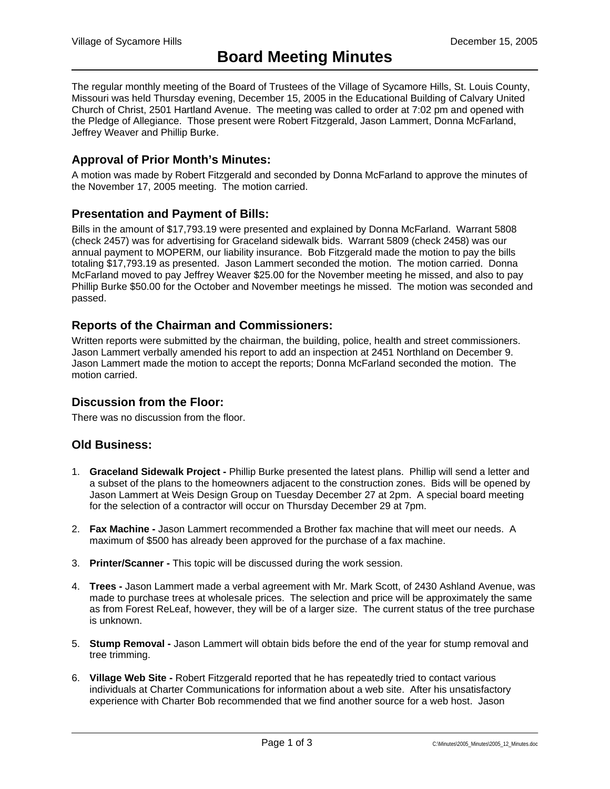The regular monthly meeting of the Board of Trustees of the Village of Sycamore Hills, St. Louis County, Missouri was held Thursday evening, December 15, 2005 in the Educational Building of Calvary United Church of Christ, 2501 Hartland Avenue. The meeting was called to order at 7:02 pm and opened with the Pledge of Allegiance. Those present were Robert Fitzgerald, Jason Lammert, Donna McFarland, Jeffrey Weaver and Phillip Burke.

# **Approval of Prior Month's Minutes:**

A motion was made by Robert Fitzgerald and seconded by Donna McFarland to approve the minutes of the November 17, 2005 meeting. The motion carried.

### **Presentation and Payment of Bills:**

Bills in the amount of \$17,793.19 were presented and explained by Donna McFarland. Warrant 5808 (check 2457) was for advertising for Graceland sidewalk bids. Warrant 5809 (check 2458) was our annual payment to MOPERM, our liability insurance. Bob Fitzgerald made the motion to pay the bills totaling \$17,793.19 as presented. Jason Lammert seconded the motion. The motion carried. Donna McFarland moved to pay Jeffrey Weaver \$25.00 for the November meeting he missed, and also to pay Phillip Burke \$50.00 for the October and November meetings he missed. The motion was seconded and passed.

## **Reports of the Chairman and Commissioners:**

Written reports were submitted by the chairman, the building, police, health and street commissioners. Jason Lammert verbally amended his report to add an inspection at 2451 Northland on December 9. Jason Lammert made the motion to accept the reports; Donna McFarland seconded the motion. The motion carried.

### **Discussion from the Floor:**

There was no discussion from the floor.

### **Old Business:**

- 1. **Graceland Sidewalk Project -** Phillip Burke presented the latest plans. Phillip will send a letter and a subset of the plans to the homeowners adjacent to the construction zones. Bids will be opened by Jason Lammert at Weis Design Group on Tuesday December 27 at 2pm. A special board meeting for the selection of a contractor will occur on Thursday December 29 at 7pm.
- 2. **Fax Machine -** Jason Lammert recommended a Brother fax machine that will meet our needs. A maximum of \$500 has already been approved for the purchase of a fax machine.
- 3. **Printer/Scanner -** This topic will be discussed during the work session.
- 4. **Trees -** Jason Lammert made a verbal agreement with Mr. Mark Scott, of 2430 Ashland Avenue, was made to purchase trees at wholesale prices. The selection and price will be approximately the same as from Forest ReLeaf, however, they will be of a larger size. The current status of the tree purchase is unknown.
- 5. **Stump Removal -** Jason Lammert will obtain bids before the end of the year for stump removal and tree trimming.
- 6. **Village Web Site -** Robert Fitzgerald reported that he has repeatedly tried to contact various individuals at Charter Communications for information about a web site. After his unsatisfactory experience with Charter Bob recommended that we find another source for a web host. Jason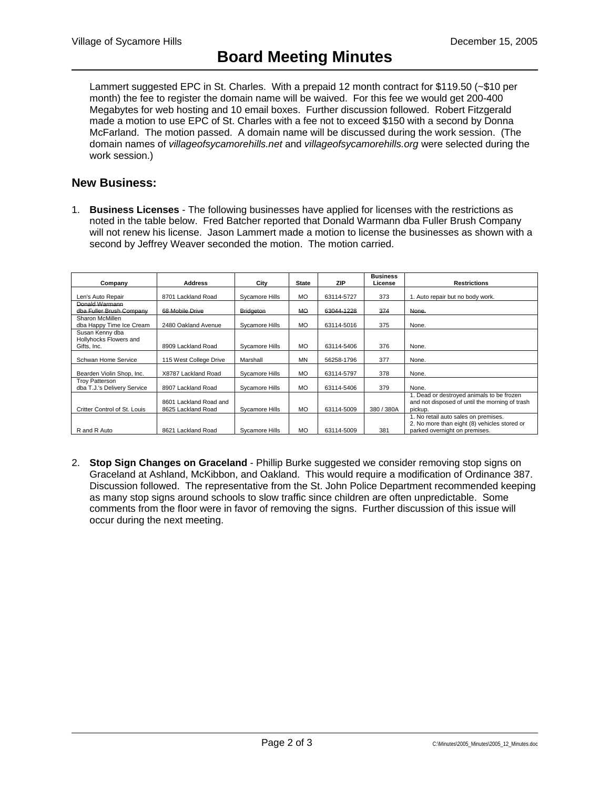Lammert suggested EPC in St. Charles. With a prepaid 12 month contract for \$119.50 (~\$10 per month) the fee to register the domain name will be waived. For this fee we would get 200-400 Megabytes for web hosting and 10 email boxes. Further discussion followed. Robert Fitzgerald made a motion to use EPC of St. Charles with a fee not to exceed \$150 with a second by Donna McFarland. The motion passed. A domain name will be discussed during the work session. (The domain names of *villageofsycamorehills.net* and *villageofsycamorehills.org* were selected during the work session.)

# **New Business:**

1. **Business Licenses** - The following businesses have applied for licenses with the restrictions as noted in the table below. Fred Batcher reported that Donald Warmann dba Fuller Brush Company will not renew his license. Jason Lammert made a motion to license the businesses as shown with a second by Jeffrey Weaver seconded the motion. The motion carried.

| Company                                                  | <b>Address</b>                               | City             | <b>State</b> | <b>ZIP</b> | <b>Business</b><br>License | Restrictions                                                                                                          |
|----------------------------------------------------------|----------------------------------------------|------------------|--------------|------------|----------------------------|-----------------------------------------------------------------------------------------------------------------------|
| Len's Auto Repair                                        | 8701 Lackland Road                           | Sycamore Hills   | <b>MO</b>    | 63114-5727 | 373                        | 1. Auto repair but no body work.                                                                                      |
| Donald Warmann<br>dba Fuller Brush Company               | 68 Mobile Drive                              | <b>Bridgeton</b> | <b>MO</b>    | 63044-1228 | 374                        | None.                                                                                                                 |
| Sharon McMillen<br>dba Happy Time Ice Cream              | 2480 Oakland Avenue                          | Sycamore Hills   | <b>MO</b>    | 63114-5016 | 375                        | None.                                                                                                                 |
| Susan Kenny dba<br>Hollyhocks Flowers and<br>Gifts, Inc. | 8909 Lackland Road                           | Sycamore Hills   | <b>MO</b>    | 63114-5406 | 376                        | None.                                                                                                                 |
| Schwan Home Service                                      | 115 West College Drive                       | Marshall         | MN           | 56258-1796 | 377                        | None.                                                                                                                 |
| Bearden Violin Shop, Inc.                                | X8787 Lackland Road                          | Sycamore Hills   | <b>MO</b>    | 63114-5797 | 378                        | None.                                                                                                                 |
| <b>Troy Patterson</b><br>dba T.J.'s Delivery Service     | 8907 Lackland Road                           | Sycamore Hills   | <b>MO</b>    | 63114-5406 | 379                        | None.                                                                                                                 |
| Critter Control of St. Louis                             | 8601 Lackland Road and<br>8625 Lackland Road | Sycamore Hills   | <b>MO</b>    | 63114-5009 | 380 / 380A                 | 1. Dead or destroyed animals to be frozen<br>and not disposed of until the morning of trash<br>pickup.                |
| R and R Auto                                             | 8621 Lackland Road                           | Svcamore Hills   | <b>MO</b>    | 63114-5009 | 381                        | 1. No retail auto sales on premises.<br>2. No more than eight (8) vehicles stored or<br>parked overnight on premises. |

2. **Stop Sign Changes on Graceland** - Phillip Burke suggested we consider removing stop signs on Graceland at Ashland, McKibbon, and Oakland. This would require a modification of Ordinance 387. Discussion followed. The representative from the St. John Police Department recommended keeping as many stop signs around schools to slow traffic since children are often unpredictable. Some comments from the floor were in favor of removing the signs. Further discussion of this issue will occur during the next meeting.